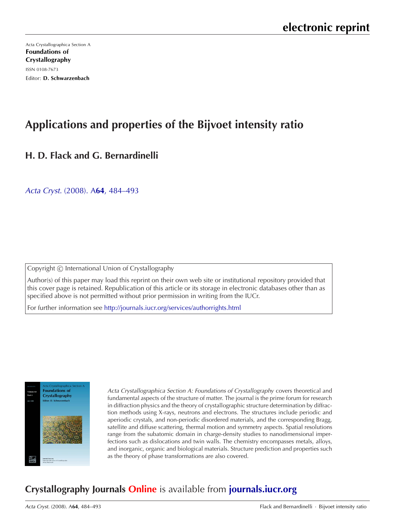[Acta Crystallographica Section A](http://journals.iucr.org/a/) Foundations of Crystallography ISSN 0108-7673 Editor: D. Schwarzenbach

# **Applications and properties of the Bijvoet intensity ratio**

# **H. D. Flack and G. Bernardinelli**

Acta Cryst. (2008). A**64**[, 484–493](http://dx.doi.org/10.1107/S0108767308013780)

Copyright (C) International Union of Crystallography

Author(s) of this paper may load this reprint on their own web site or institutional repository provided that this cover page is retained. Republication of this article or its storage in electronic databases other than as specified above is not permitted without prior permission in writing from the IUCr.

For further information see <http://journals.iucr.org/services/authorrights.html>



Acta Crystallographica Section A: Foundations of Crystallography covers theoretical and fundamental aspects of the structure of matter. The journal is the prime forum for research in diffraction physics and the theory of crystallographic structure determination by diffraction methods using X-rays, neutrons and electrons. The structures include periodic and aperiodic crystals, and non-periodic disordered materials, and the corresponding Bragg, satellite and diffuse scattering, thermal motion and symmetry aspects. Spatial resolutions range from the subatomic domain in charge-density studies to nanodimensional imperfections such as dislocations and twin walls. The chemistry encompasses metals, alloys, and inorganic, organic and biological materials. Structure prediction and properties such as the theory of phase transformations are also covered.

# **Crystallography Journals Online** is available from **[journals.iucr.org](http://journals.iucr.org)**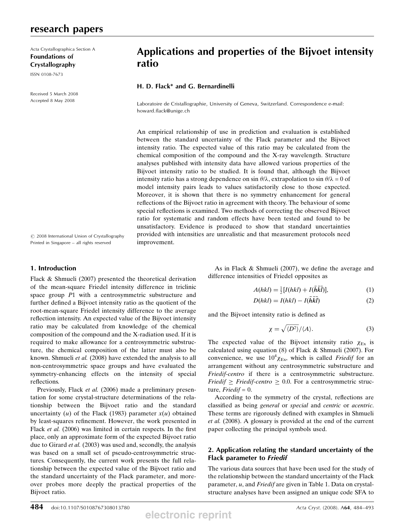## research papers

Acta Crystallographica Section A Foundations of Crystallography

ISSN 0108-7673

Received 5 March 2008 Accepted 8 May 2008

# Applications and properties of the Bijvoet intensity ratio

## H. D. Flack\* and G. Bernardinelli

Laboratoire de Cristallographie, University of Geneva, Switzerland. Correspondence e-mail: howard.flack@unige.ch

An empirical relationship of use in prediction and evaluation is established between the standard uncertainty of the Flack parameter and the Bijvoet intensity ratio. The expected value of this ratio may be calculated from the chemical composition of the compound and the X-ray wavelength. Structure analyses published with intensity data have allowed various properties of the Bijvoet intensity ratio to be studied. It is found that, although the Bijvoet intensity ratio has a strong dependence on sin  $\theta/\lambda$ , extrapolation to sin  $\theta/\lambda = 0$  of model intensity pairs leads to values satisfactorily close to those expected. Moreover, it is shown that there is no symmetry enhancement for general reflections of the Bijvoet ratio in agreement with theory. The behaviour of some special reflections is examined. Two methods of correcting the observed Bijvoet ratio for systematic and random effects have been tested and found to be unsatisfactory. Evidence is produced to show that standard uncertainties provided with intensities are unrealistic and that measurement protocols need improvement.

 $\odot$  2008 International Union of Crystallography Printed in Singapore – all rights reserved

## 1. Introduction

Flack & Shmueli (2007) presented the theoretical derivation of the mean-square Friedel intensity difference in triclinic space group P1 with a centrosymmetric substructure and further defined a Bijvoet intensity ratio as the quotient of the root-mean-square Friedel intensity difference to the average reflection intensity. An expected value of the Bijvoet intensity ratio may be calculated from knowledge of the chemical composition of the compound and the X-radiation used. If it is required to make allowance for a centrosymmetric substructure, the chemical composition of the latter must also be known. Shmueli et al. (2008) have extended the analysis to all non-centrosymmetric space groups and have evaluated the symmetry-enhancing effects on the intensity of special reflections.

Previously, Flack et al. (2006) made a preliminary presentation for some crystal-structure determinations of the relationship between the Bijvoet ratio and the standard uncertainty (*u*) of the Flack (1983) parameter  $x(u)$  obtained by least-squares refinement. However, the work presented in Flack *et al.* (2006) was limited in certain respects. In the first place, only an approximate form of the expected Bijvoet ratio due to Girard et al. (2003) was used and, secondly, the analysis was based on a small set of pseudo-centrosymmetric structures. Consequently, the current work presents the full relationship between the expected value of the Bijvoet ratio and the standard uncertainty of the Flack parameter, and moreover probes more deeply the practical properties of the Bijvoet ratio.

As in Flack & Shmueli (2007), we define the average and difference intensities of Friedel opposites as

$$
A(hkl) = \frac{1}{2}[I(hkl) + I(\overline{h}\overline{k}\overline{l})],\tag{1}
$$

$$
D(hkl) = I(hkl) - I(\bar{h}\bar{k}\bar{l})
$$
\n(2)

and the Bijvoet intensity ratio is defined as

$$
\chi = \sqrt{\langle D^2 \rangle} / \langle A \rangle. \tag{3}
$$

The expected value of the Bijvoet intensity ratio  $\chi_{Ex}$  is calculated using equation (8) of Flack & Shmueli (2007). For convenience, we use  $10^4 \chi_{Ex}$ , which is called *Friedif* for an arrangement without any centrosymmetric substructure and Friedif-centro if there is a centrosymmetric substructure. *Friedif*  $\geq$  *Friedif-centro*  $\geq$  0.0. For a centrosymmetric structure,  $Friedif = 0$ .

According to the symmetry of the crystal, reflections are classified as being general or special and centric or acentric. These terms are rigorously defined with examples in Shmueli et al. (2008). A glossary is provided at the end of the current paper collecting the principal symbols used.

## 2. Application relating the standard uncertainty of the Flack parameter to Friedif

The various data sources that have been used for the study of the relationship between the standard uncertainty of the Flack parameter,  $u$ , and Friedif are given in Table 1. Data on crystalstructure analyses have been assigned an unique code SFA to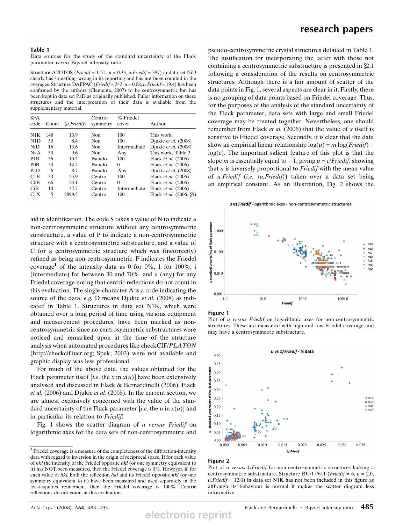Data sources for the study of the standard uncertainty of the Flack parameter versus Bijvoet intensity ratio.

Structure ATOTOS (Friedif = 1171,  $u = 0.33$ , u.Friedif = 387) in data set NiD clearly has something wrong in its reporting and has not been counted in the averages. Structure DAFPAC (*Friedif* = 242,  $u = 0.08$ ,  $u$ *. Friedif* = 19.4) has been confirmed by the authors (Clemente, 2007) to be centrosymmetric but has been kept in data set PaD as originally published. Fuller information on these structures and the interpretation of their data is available from the supplementary material.

| <b>SFA</b><br>code | Count | $\langle u.Friedif \rangle$ | Centro-<br>symmetry | % Friedel<br>cover | Author                     |
|--------------------|-------|-----------------------------|---------------------|--------------------|----------------------------|
| N1K                | 148   | 13.9                        | Non                 | 100                | This work                  |
| N1D                | 50    | 8.4                         | Non                 | 100                | Djukic et al. (2008)       |
| NiD                | 16    | 13.6                        | Non                 | Intermediate       | Djukic et al. (2008)       |
| NaA                | 30    | 9.6                         | Non                 | Any                | This work, Table 3         |
| P <sub>1</sub> B   | 36    | 10.2                        | Pseudo              | 100                | Flack <i>et al.</i> (2006) |
| P <sub>0</sub> B   | 50    | 14.7                        | Pseudo              | 0                  | Flack et al. (2006)        |
| PaD                | 6     | 8.7                         | Pseudo              | Any                | Djukic et al. (2008)       |
| C <sub>1</sub> B   | 30    | 25.9                        | Centro              | 100                | Flack et al. (2006)        |
| COB                | 66    | 23.1                        | Centro              | 0                  | Flack et al. (2006)        |
| CiB                | 10    | 32.7                        | Centro              | Intermediate       | Flack et al. (2006)        |
| C1X                | 5     | 2899.5                      | Centro              | 100                | Flack et al. (2006, §5)    |

aid in identification. The code S takes a value of N to indicate a non-centrosymmetric structure without any centrosymmetric substructure, a value of P to indicate a non-centrosymmetric structure with a centrosymmetric substructure, and a value of C for a centrosymmetric structure which was (incorrectly) refined as being non-centrosymmetric. F indicates the Friedel coverage<sup>1</sup> of the intensity data as 0 for  $0\%$ , 1 for  $100\%$ , i (intermediate) for between 30 and 70%, and a (any) for any Friedel coverage noting that centric reflections do not count in this evaluation. The single-character A is a code indicating the source of the data, *e.g.* D means Djukic *et al.* (2008) as indicated in Table 1. Structures in data set N1K, which were obtained over a long period of time using various equipment and measurement procedures, have been marked as noncentrosymmetric since no centrosymmetric substructures were noticed and remarked upon at the time of the structure analysis when automated procedures like checkCIF/PLATON (http://checkcif.iucr.org; Spek, 2003) were not available and graphic display was less professional.

For much of the above data, the values obtained for the Flack parameter itself [i.e. the x in  $x(u)$ ] have been extensively analysed and discussed in Flack & Bernardinelli (2006), Flack et al. (2006) and Djukic et al. (2008). In the current section, we are almost exclusively concerned with the value of the standard uncertainty of the Flack parameter [i.e. the u in  $x(u)$ ] and in particular its relation to Friedif.

Fig. 1 shows the scatter diagram of u versus Friedif on logarithmic axes for the data sets of non-centrosymmetric and pseudo-centrosymmetric crystal structures detailed in Table 1. The justification for incorporating the latter with those not containing a centrosymmetric substructure is presented in  $\S 2.1$ following a consideration of the results on centrosymmetric structures. Although there is a fair amount of scatter of the data points in Fig. 1, several aspects are clear in it. Firstly, there is no grouping of data points based on Friedel coverage. Thus, for the purposes of the analysis of the standard uncertainty of the Flack parameter, data sets with large and small Friedel coverage may be treated together. Nevertheless, one should remember from Flack et al. (2006) that the value of  $x$  itself is sensitive to Friedel coverage. Secondly, it is clear that the data show an empirical linear relationship  $log(u) = m log(Friedif) +$  $log(c)$ . The important salient feature of this plot is that the slope *m* is essentially equal to  $-1$ , giving  $u = c/Friedif$ , showing that  $u$  is inversely proportional to *Friedif* with the mean value of u.Friedif (i.e.  $\langle u.Friedif \rangle$ ) taken over a data set being an empirical constant. As an illustration, Fig. 2 shows the

u vs Friedif - logarithmic axes - non-centrosymmetric structures



#### Figure 1

Plot of *u versus Friedif* on logarithmic axes for non-centrosymmetric structures. These are measured with high and low Friedel coverage and may have a centrosymmetric substructure.



#### Figure 2

Plot of *u versus 1/Friedif* for non-centrosymmetric structures lacking a centrosymmetric substructure. Structure BU/17/611 (*Friedif* = 6,  $u = 2.0$ ,  $u.Friedif = 12.0$ ) in data set N1K has not been included in this figure as although its behaviour is normal it makes the scatter diagram less informative.

<sup>1</sup> Friedel coverage is a measure of the completeness of the diffraction-intensity data with regard to inversion in the origin of reciprocal space. If for each value of hkl the intensity of the Friedel opposite  $\overline{h}\overline{k}\overline{l}$  (or one symmetry equivalent to it) has NOT been measured, then the Friedel coverage is 0%. However, if, for each value of hkl, both the reflection hkl and its Friedel opposite  $\overline{h}\overline{k}\overline{l}$  (or one symmetry equivalent to it) have been measured and used separately in the least-squares refinement, then the Friedel coverage is 100%. Centric reflections do not count in this evaluation.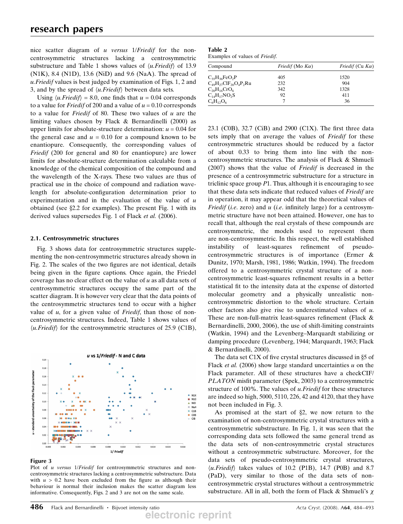nice scatter diagram of u versus 1/*Friedif* for the noncentrosymmetric structures lacking a centrosymmetric substructure and Table 1 shows values of  $\langle u.Friedif \rangle$  of 13.9 (N1K), 8.4 (N1D), 13.6 (NiD) and 9.6 (NaA). The spread of u.Friedif values is best judged by examination of Figs. 1, 2 and 3, and by the spread of  $\langle u.Friedif \rangle$  between data sets.

Using  $\langle u.Friedif \rangle = 8.0$ , one finds that  $u = 0.04$  corresponds to a value for *Friedif* of 200 and a value of  $u = 0.10$  corresponds to a value for *Friedif* of 80. These two values of  $u$  are the limiting values chosen by Flack & Bernardinelli (2000) as upper limits for absolute-structure determination:  $u = 0.04$  for the general case and  $u = 0.10$  for a compound known to be enantiopure. Consequently, the corresponding values of Friedif (200 for general and 80 for enantiopure) are lower limits for absolute-structure determination calculable from a knowledge of the chemical composition of the compound and the wavelength of the X-rays. These two values are thus of practical use in the choice of compound and radiation wavelength for absolute-configuration determination prior to experimentation and in the evaluation of the value of  $u$ obtained (see  $\S 2.2$  for examples). The present Fig. 1 with its derived values supersedes Fig. 1 of Flack et al. (2006).

#### 2.1. Centrosymmetric structures

Fig. 3 shows data for centrosymmetric structures supplementing the non-centrosymmetric structures already shown in Fig. 2. The scales of the two figures are not identical, details being given in the figure captions. Once again, the Friedel coverage has no clear effect on the value of  $u$  as all data sets of centrosymmetric structures occupy the same part of the scatter diagram. It is however very clear that the data points of the centrosymmetric structures tend to occur with a higher value of  $u$ , for a given value of *Friedif*, than those of noncentrosymmetric structures. Indeed, Table 1 shows values of  $\langle u.Friedif \rangle$  for the centrosymmetric structures of 25.9 (C1B),



#### Figure 3

Plot of u versus 1/Friedif for centrosymmetric structures and noncentrosymmetric structures lacking a centrosymmetric substructure. Data with  $u > 0.2$  have been excluded from the figure as although their behaviour is normal their inclusion makes the scatter diagram less informative. Consequently, Figs. 2 and 3 are not on the same scale.

| Table 2                        |  |
|--------------------------------|--|
| Examples of values of Friedif. |  |

| Compound                       | <i>Friedif</i> (Mo $K\alpha$ ) | <i>Friedif</i> (Cu $K\alpha$ ) |  |  |
|--------------------------------|--------------------------------|--------------------------------|--|--|
| $C_{35}H_{36}FeO_2P$           | 405                            | 1520                           |  |  |
| $C_{49}H_{27}CIF_{20}O_4P_2Ru$ | 232                            | 904                            |  |  |
| $C_{20}H_{16}CrO_6$            | 342                            | 1328                           |  |  |
| $C_{14}H_{17}NO_2S$            | 92                             | 411                            |  |  |
| $C_6H_{12}O_6$                 |                                | 36                             |  |  |

23.1 (C0B), 32.7 (CiB) and 2900 (C1X). The first three data sets imply that on average the values of Friedif for these centrosymmetric structures should be reduced by a factor of about 0.33 to bring them into line with the noncentrosymmetric structures. The analysis of Flack & Shmueli (2007) shows that the value of Friedif is decreased in the presence of a centrosymmetric substructure for a structure in triclinic space group  $P1$ . Thus, although it is encouraging to see that these data sets indicate that reduced values of Friedif are in operation, it may appear odd that the theoretical values of *Friedif* (*i.e.* zero) and  $u$  (*i.e.* infinitely large) for a centrosymmetric structure have not been attained. However, one has to recall that, although the real crystals of these compounds are centrosymmetric, the models used to represent them are non-centrosymmetric. In this respect, the well established instability of least-squares refinement of pseudocentrosymmetric structures is of importance (Ermer & Dunitz, 1970; Marsh, 1981, 1986; Watkin, 1994). The freedom offered to a centrosymmetric crystal structure of a noncentrosymmetric least-squares refinement results in a better statistical fit to the intensity data at the expense of distorted molecular geometry and a physically unrealistic noncentrosymmetric distortion to the whole structure. Certain other factors also give rise to underestimated values of u. These are non-full-matrix least-squares refinement (Flack & Bernardinelli, 2000, 2006), the use of shift-limiting constraints (Watkin, 1994) and the Levenberg–Marquardt stabilizing or damping procedure (Levenberg, 1944; Marquardt, 1963; Flack & Bernardinelli, 2000).

The data set C1X of five crystal structures discussed in  $\S$ 5 of Flack *et al.* (2006) show large standard uncertainties  $u$  on the Flack parameter. All of these structures have a checkCIF/ PLATON misfit parameter (Spek, 2003) to a centrosymmetric structure of 100%. The values of *u. Friedif* for these structures are indeed so high, 5000, 5110, 226, 42 and 4120, that they have not been included in Fig. 3.

As promised at the start of  $\S2$ , we now return to the examination of non-centrosymmetric crystal structures with a centrosymmetric substructure. In Fig. 1, it was seen that the corresponding data sets followed the same general trend as the data sets of non-centrosymmetric crystal structures without a centrosymmetric substructure. Moreover, for the data sets of pseudo-centrosymmetric crystal structures,  $\langle u.Friedif \rangle$  takes values of 10.2 (P1B), 14.7 (P0B) and 8.7 (PaD), very similar to those of the data sets of noncentrosymmetric crystal structures without a centrosymmetric substructure. All in all, both the form of Flack & Shmueli's  $\chi$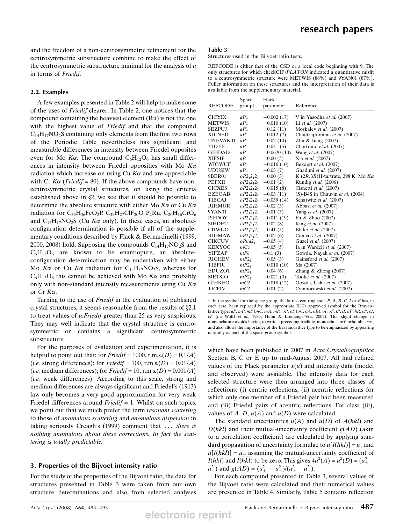and the freedom of a non-centrosymmetric refinement for the centrosymmetric substructure combine to make the effect of the centrosymmetric substructure minimal for the analysis of  $u$ in terms of Friedif.

## 2.2. Examples

A few examples presented in Table 2 will help to make some of the uses of Friedif clearer. In Table 2, one notices that the compound containing the heaviest element (Ru) is not the one with the highest value of Friedif and that the compound  $C_{14}H_{17}NO_2S$  containing only elements from the first two rows of the Periodic Table nevertheless has significant and measurable differences in intensity between Friedel opposites even for Mo K $\alpha$ . The compound  $C_6H_{12}O_6$  has small differences in intensity between Friedel opposities with Mo  $K\alpha$ radiation which increase on using Cu  $K\alpha$  and are appreciable with Cr  $K\alpha$  (*Friedif* = 80). If the above compounds have noncentrosymmetric crystal structures, on using the criteria established above in  $\S2$ , we see that it should be possible to determine the absolute structure with either Mo  $K\alpha$  or Cu  $K\alpha$ radiation for  $C_{35}H_{36}FeO_2P$ ,  $C_{49}H_{27}ClF_{20}O_4P_2Ru$ ,  $C_{20}H_{16}CrO_6$ and  $C_{14}H_{17}NO_2S$  (Cu K $\alpha$  only). In these cases, an absoluteconfiguration determination is possible if all of the supplementary conditions described by Flack & Bernardinelli (1999, 2000, 2008) hold. Supposing the compounds  $C_{14}H_{17}NO_2S$  and  $C_6H_{12}O_6$  are known to be enantiopure, an absoluteconfiguration determination may be undertaken with either Mo K $\alpha$  or Cu K $\alpha$  radiation for C<sub>14</sub>H<sub>17</sub>NO<sub>2</sub>S, whereas for  $C_6H_{12}O_6$  this cannot be achieved with Mo K $\alpha$  and probably only with non-standard intensity measurements using Cu  $K\alpha$ or Cr  $K\alpha$ .

Turning to the use of Friedif in the evaluation of published crystal structures, it seems reasonable from the results of  $\S 2.1$ to treat values of u.Friedif greater than 25 as very suspicious. They may well indicate that the crystal structure is centrosymmetric or contains a significant centrosymmetric substructure.

For the purposes of evaluation and experimentation, it is helpful to point out that: for *Friedif* = 1000, r.m.s.(*D*) =  $0.1\langle A \rangle$ (*i.e.* strong differences); for *Friedif* = 100, r.m.s.(*D*) =  $0.01\langle A \rangle$ (*i.e.* medium differences); for *Friedif* = 10, r.m.s.(*D*) =  $0.001\langle A \rangle$ (i.e. weak differences). According to this scale, strong and medium differences are always significant and Friedel's (1913) law only becomes a very good approximation for very weak Friedel differences around  $Friedif = 1$ . Whilst on such topics, we point out that we much prefer the term *resonant scattering* to those of anomalous scattering and anomalous dispersion in taking seriously Creagh's (1999) comment that ... there is nothing anomalous about these corrections. In fact the scattering is totally predictable.

## 3. Properties of the Bijvoet intensity ratio

For the study of the properties of the Bijvoet ratio, the data for structures presented in Table 3 were taken from our own structure determinations and also from selected analyses

#### Table 3

Structures used in the Bijvoet ratio tests.

REFCODE is either that of the CSD or a local code beginning with 9. The only structures for which checkCIF/PLATON indicated a quantitative misfit to a centrosymmetric structure were METWIS (88%) and 9YAN01 (87%). Fuller information on these structures and the interpretation of their data is available from the supplementary material.

| <b>REFCODE</b>  | Space<br>group†    | Flack<br>parameter | Reference                                   |
|-----------------|--------------------|--------------------|---------------------------------------------|
| <b>CICYIX</b>   | aP1                | $-0.002(17)$       | V in Yasodha et al. (2007)                  |
| <b>METWIS</b>   | aP1                | 0.010(10)          | Li et al. (2007)                            |
| <b>SEZPUJ</b>   | aP1                | 0.12(11)           | Moskalev et al. (2007)                      |
| <b>XICNED</b>   | aP1                | 0.012(7)           | Chantrapromma et al. (2007)                 |
| <b>UNEVAK01</b> | aP1                | 0.02(10)           | Zhu & Jiang (2007)                          |
| <b>YIDJIF</b>   | aP1                | 0.041(5)           | Chartrand et al. (2007)                     |
| <b>GIHDAD</b>   | aP1                | 0.0620(10)         | Wang et al. (2007)                          |
| <b>XIFSIP</b>   | aP1                | 0.00(5)            | Xia et al. (2007)                           |
| WIGWUF          | aP1                | $-0.016(10)$       | Bekaert et al. (2007)                       |
| <b>UDUSIW</b>   | aP1                | $-0.03(7)$         | Ghadimi et al. (2007)                       |
| 9BER01          | $oP2_12_12_1$      | 0.00(3)            | K $(2R,3R)H$ -tartrate, 298 K, Mo $K\alpha$ |
| <b>PEFXII</b>   | $oP2_12_12_1$      | $-0.01(2)$         | Kündig et al. (2006)                        |
| <b>CICXES</b>   | $oP2_12_12_1$      | 0.015(8)           | Cisnetti et al. (2007)                      |
| <b>EZEOAB</b>   | $oP2_12_12_1$      | $-0.03(11)$        | $(S)$ -B4S in Chauvin et al. (2004)         |
| <b>TIBCAJ</b>   | $oP2_12_12_1$      | $-0.039(14)$       | Scharwitz et al. (2007)                     |
| <b>RIHMUR</b>   | $oP2_12_12_1$      | $-0.02(3)$         | Abbasi et al. (2007)                        |
| 9YAN01          | $oP2_12_12_1$      | $-0.01(3)$         | Yang et al. (2007)                          |
| <b>PIFDOY</b>   | $oP2_12_12_1$      | 0.011(19)          | Fu & Zhao (2007)                            |
| <b>SIHDET</b>   | $oP2_12_12_1$      | $-0.02(8)$         | King et al. (2007)                          |
| <b>CIJWUO</b>   | $oP2_12_12_1$      | 0.41(3)            | Blake et al. (2007)                         |
| <b>RIGMAW</b>   | $oP2_12_12_1$      | $-0.02(6)$         | Cunico et al. (2007)                        |
| <b>CIKCUV</b>   | oPna2 <sub>1</sub> | $-0.05(4)$         | Guzei et al. (2007)                         |
| <b>KEXYOC</b>   | тCс                | $-0.05(5)$         | Ia in Wardell et al. (2007)                 |
| <b>YIFZAP</b>   | mPc                | $-0.1(3)$          | Gowda, Nayak et al. (2007)                  |
| <b>RIGHEV</b>   | $mP2_1$            | 0.05(3)            | Gainsford et al. (2007)                     |
| <b>TIBFIU</b>   | $mP2_1$            | 0.010(10)          | Ma (2007)                                   |
| <b>EDUZOT</b>   | $mP2_1$            | 0.04(6)            | Zhang $&$ Zheng (2007)                      |
| <b>METSIO</b>   | $mP2_1$            | $-0.021(3)$        | Tooke et al. (2007)                         |
| <b>GIHKEO</b>   | mC2                | $-0.018(12)$       | Gowda, Usha et al. (2007)                   |
| <b>TICFIV</b>   | mC2                | $-0.01(2)$         | Cymborowski et al. (2007)                   |

 $\dagger$  In the symbol for the space group, the lattice-centring code P, A, B, C, I or F has, in each case, been replaced by the appropriate IUCr approved symbol for the Bravaislattice type:  $aP, mP, mS$  (mC, mA, mI),  $oP, oS$  ( $oC, oA, oB$ ),  $oI, oF, tP, tI, hP, hR, cP, cI$ . cF (de Wolff et al., 1985; Hahn & Looijenga-Vos, 2002). This slight change in nomenclature avoids having to write a preceding triclinic, monoclinic, orthorhombic etc., and also allows the importance of the Bravais-lattice type to be emphasized by appearing naturally as part of the space-group symbol.

which have been published in 2007 in Acta Crystallographica Section B, C or E up to mid-August 2007. All had refined values of the Flack parameter  $x(u)$  and intensity data (model and observed) were available. The intensity data for each selected structure were then arranged into three classes of reflections: (i) centric reflections, (ii) acentric reflections for which only one member of a Friedel pair had been measured and (iii) Friedel pairs of acentric reflections. For class (iii), values of A, D,  $u(A)$  and  $u(D)$  were calculated.

The standard uncertainties  $u(A)$  and  $u(D)$  of  $A(hkl)$  and  $D(hkl)$  and their mutual-uncertainty coefficient  $g(AD)$  (akin to a correlation coefficient) are calculated by applying standard propagation of uncertainty formulae to  $u[I(hkl)] = u_+$  and  $u[I(\tilde{h}\tilde{k}\tilde{l})] = u_{-}$  assuming the mutual-uncertainty coefficient of  $I(hkl)$  and  $I(h\overline{k}\overline{l})$  to be zero. This gives  $4u^2(A) = u^2(D) = (u_+^2 +$  $u_-^2$  and  $g(AD) = (u_+^2 - u_-^2)/(u_+^2 + u_-^2)$ .

For each compound presented in Table 3, several values of the Bijvoet ratio were calculated and their numerical values are presented in Table 4. Similarly, Table 5 contains reflection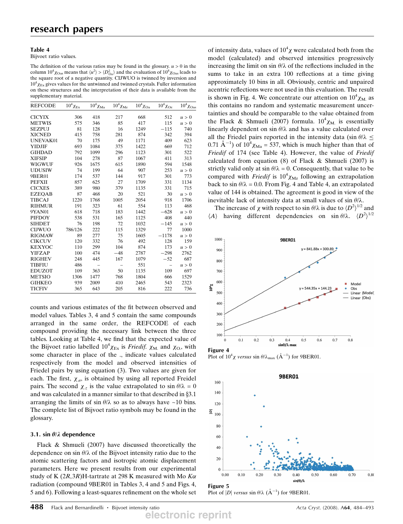#### Table 4

Bijvoet ratio values.

The definition of the various ratios may be found in the glossary.  $u > 0$  in the column  $10^4 \chi_{\text{Oas}}$  means that  $\langle u^2 \rangle > \langle D_{\text{Oa}}^2 \rangle$  and the evaluation of  $10^4 \chi_{\text{Oas}}$  leads to the square root of a negative quantity. CIJWUO is twinned by inversion and  $10^4 \chi_{Ex}$  gives values for the untwinned and twinned crystals. Fuller information on these structures and the interpretation of their data is available from the supplementary material.

| <b>REFCODE</b> | $10^4 \chi_{\rm Ex}$ | $10^4 \chi_\mathrm{Ma}$ | $10^4 \chi_{\rm Mz}$ | $10^4 \chi_{\rm Oa}$ | $10^4 \chi_{\rm Oz}$ | $10^4 \chi_{\rm Oas}$ |
|----------------|----------------------|-------------------------|----------------------|----------------------|----------------------|-----------------------|
| <b>CICYIX</b>  | 306                  | 418                     | 217                  | 668                  | 512                  | u > 0                 |
| <b>METWIS</b>  | 575                  | 346                     | 85                   | 417                  | 115                  | u > 0                 |
| <b>SEZPUJ</b>  | 81                   | 128                     | 16                   | 1249                 | $-115$               | 740                   |
| <b>XICNED</b>  | 415                  | 758                     | 281                  | 874                  | 342                  | 394                   |
| UNEVAK01       | 70                   | 175                     | 49                   | 1171                 | 409                  | 623                   |
| <b>YIDJIF</b>  | 693                  | 1084                    | 375                  | 1422                 | 669                  | 712                   |
| <b>GIHDAD</b>  | 792                  | 1099                    | 296                  | 1123                 | 301                  | 522                   |
| <b>XIFSIP</b>  | 104                  | 278                     | 87                   | 1067                 | 411                  | 313                   |
| <b>WIGWUF</b>  | 926                  | 1675                    | 615                  | 1890                 | 594                  | 1548                  |
| <b>UDUSIW</b>  | 74                   | 199                     | 64                   | 907                  | 253                  | u > 0                 |
| 9BER01         | 174                  | 537                     | 144                  | 917                  | 301                  | 773                   |
| <b>PEFXII</b>  | 857                  | 625                     | 27                   | 1709                 | 331                  | 1134                  |
| <b>CICXES</b>  | 389                  | 980                     | 379                  | 1135                 | 331                  | 715                   |
| <b>EZEOAB</b>  | 87                   | 468                     | 20                   | 521                  | 30                   | u > 0                 |
| <b>TIBCAJ</b>  | 1220                 | 1768                    | 1005                 | 2054                 | 918                  | 1706                  |
| <b>RIHMUR</b>  | 191                  | 323                     | 61                   | 554                  | 113                  | 468                   |
| 9YAN01         | 618                  | 718                     | 183                  | 1442                 | $-628$               | u > 0                 |
| <b>PIFDOY</b>  | 538                  | 531                     | 165                  | 1125                 | 408                  | 440                   |
| <b>SIHDET</b>  | 76                   | 198                     | 72                   | 1032                 | $-145$               | u > 0                 |
| <b>CIJWUO</b>  | 786/126              | 222                     | 115                  | 1329                 | 77                   | 1000                  |
| <b>RIGMAW</b>  | 89                   | 277                     | 75                   | 1605                 | $-1178$              | u > 0                 |
| <b>CIKCUV</b>  | 120                  | 332                     | 76                   | 492                  | 128                  | 159                   |
| <b>KEXYOC</b>  | 110                  | 299                     | 104                  | 874                  | 173                  | u > 0                 |
| <b>YIFZAP</b>  | 100                  | 474                     | $-48$                | 2787                 | $-298$               | 2762                  |
| <b>RIGHEV</b>  | 248                  | 445                     | 167                  | 1079                 | $-52$                | 687                   |
| <b>TIBFIU</b>  | 486                  |                         |                      | 551                  | $\qquad \qquad -$    | u > 0                 |
| <b>EDUZOT</b>  | 109                  | 363                     | 50                   | 1135                 | 109                  | 697                   |
| <b>METSIO</b>  | 1306                 | 1477                    | 768                  | 1804                 | 666                  | 1529                  |
| <b>GIHKEO</b>  | 939                  | 2009                    | 410                  | 2465                 | 543                  | 2323                  |
| <b>TICFIV</b>  | 365                  | 643                     | 205                  | 816                  | 222                  | 736                   |

counts and various estimates of the fit between observed and model values. Tables 3, 4 and 5 contain the same compounds arranged in the same order, the REFCODE of each compound providing the necessary link between the three tables. Looking at Table 4, we find that the expected value of the Bijvoet ratio labelled  $10^4 \chi_{Ex}$  is *Friedif.*  $\chi_{M}$  and  $\chi_{O}$ , with some character in place of the ., indicate values calculated respectively from the model and observed intensities of Friedel pairs by using equation (3). Two values are given for each. The first,  $\chi_a$ , is obtained by using all reported Freidel pairs. The second  $\chi_z$  is the value extrapolated to  $\sin \theta / \lambda = 0$ and was calculated in a manner similar to that described in  $\S 3.1$ arranging the limits of sin  $\theta/\lambda$  so as to always have ~10 bins. The complete list of Bijvoet ratio symbols may be found in the glossary.

### 3.1. sin  $\theta/\lambda$  dependence

Flack & Shmueli (2007) have discussed theoretically the dependence on sin  $\theta/\lambda$  of the Bijvoet intensity ratio due to the atomic scattering factors and isotropic atomic displacement parameters. Here we present results from our experimental study of K  $(2R,3R)$ H-tartrate at 298 K measured with Mo K $\alpha$ radiation (compound 9BER01 in Tables 3, 4 and 5 and Figs. 4, 5 and 6). Following a least-squares refinement on the whole set

of intensity data, values of  $10^4 \chi$  were calculated both from the model (calculated) and observed intensities progressively increasing the limit on sin  $\theta/\lambda$  of the reflections included in the sums to take in an extra 100 reflections at a time giving approximately 10 bins in all. Obviously, centric and unpaired acentric reflections were not used in this evaluation. The result is shown in Fig. 4. We concentrate our attention on  $10^4 \chi_M$  as this contains no random and systematic measurement uncertainties and should be comparable to the value obtained from the Flack & Shmueli (2007) formula.  $10^4 \chi_{M}$  is essentially linearly dependent on sin  $\theta/\lambda$  and has a value calculated over all the Friedel pairs reported in the intensity data (sin  $\theta/\lambda \leq$ 0.71  $\text{\AA}^{-1}$ ) of  $10^4 \chi_{\text{Ma}} = 537$ , which is much higher than that of Friedif of 174 (see Table 4). However, the value of Friedif calculated from equation  $(8)$  of Flack & Shmueli  $(2007)$  is strictly valid only at  $\sin \theta / \lambda = 0$ . Consequently, that value to be compared with *Friedif* is  $10^4 \chi_{\text{Mz}}$  following an extrapolation back to sin  $\theta/\lambda = 0.0$ . From Fig. 4 and Table 4, an extrapolated value of 144 is obtained. The agreement is good in view of the inevitable lack of intensity data at small values of sin  $\theta/\lambda$ .

The increase of  $\chi$  with respect to sin  $\theta/\lambda$  is due to  $\langle D^2 \rangle^{1/2}$  and  $\langle A \rangle$  having different dependencies on sin  $\theta/\lambda$ .  $\langle D^2 \rangle^{1/2}$ 



Plot of  $10^4 \chi$  versus  $\sin \theta / \lambda_{\text{max}}$  ( $\AA^{-1}$ ) for 9BER01.



Plot of |D| versus  $\sin \theta / \lambda$  ( $\AA^{-1}$ ) for 9BER01.

**electronic reprint**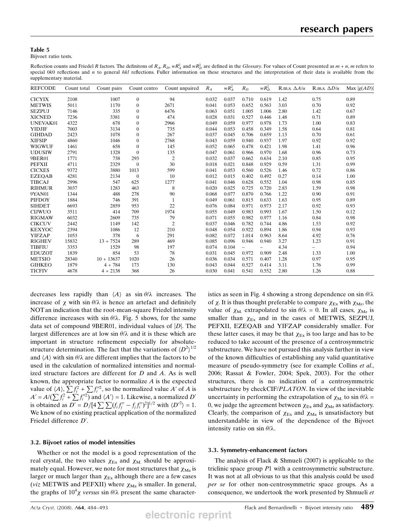#### Table 5

Bijvoet ratio tests.

Reflection counts and Friedel R factors. The definitons of  $R_A$ ,  $R_D$ ,  $wR_A^2$  and  $wR_D^2$  are defined in the *Glossary*. For values of Count presented as  $m + n$ , m refers to special 0k0 reflections and n to general hkl reflections. Fuller information on these structures and the interpretation of their data is available from the supplementary material.

| <b>REFCODE</b> | Count total | Count pairs  | Count centro   | Count unpaired | $R_A$ | $wR_A^2$ | $R_D$                    | $wR_D^2$                 | R.m.s. $\Delta A/u$ | R.m.s. $\Delta D/u$ | Max $ g(AD) $ |
|----------------|-------------|--------------|----------------|----------------|-------|----------|--------------------------|--------------------------|---------------------|---------------------|---------------|
| <b>CICYIX</b>  | 2108        | 1007         | $\mathbf{0}$   | 94             | 0.032 | 0.037    | 0.710                    | 0.619                    | 1.42                | 0.75                | 0.89          |
| <b>METWIS</b>  | 5011        | 1170         | $\mathbf{0}$   | 2671           | 0.041 | 0.053    | 0.652                    | 0.563                    | 3.03                | 0.70                | 0.92          |
| <b>SEZPUJ</b>  | 7146        | 335          | $\mathbf{0}$   | 6476           | 0.063 | 0.051    | 1.005                    | 1.006                    | 2.80                | 1.42                | 0.67          |
| <b>XICNED</b>  | 7236        | 3381         | $\Omega$       | 474            | 0.028 | 0.031    | 0.527                    | 0.446                    | 1.48                | 0.71                | 0.89          |
| UNEVAK01       | 4322        | 678          | $\mathbf{0}$   | 2966           | 0.049 | 0.059    | 0.977                    | 0.978                    | 1.73                | 1.00                | 0.83          |
| <b>YIDJIF</b>  | 7003        | 3134         | $\mathbf{0}$   | 735            | 0.044 | 0.053    | 0.458                    | 0.349                    | 1.58                | 0.64                | 0.81          |
| <b>GIHDAD</b>  | 2423        | 1078         | $\Omega$       | 267            | 0.037 | 0.045    | 0.706                    | 0.659                    | 1.13                | 0.70                | 0.61          |
| <b>XIFSIP</b>  | 4860        | 1046         | $\mathbf{0}$   | 2768           | 0.043 | 0.059    | 0.940                    | 0.937                    | 1.97                | 0.92                | 0.92          |
| <b>WIGWUF</b>  | 1461        | 658          | $\mathbf{0}$   | 145            | 0.052 | 0.065    | 0.478                    | 0.421                    | 1.98                | 1.41                | 0.96          |
| <b>UDUSIW</b>  | 2791        | 1328         | $\Omega$       | 135            | 0.047 | 0.061    | 0.966                    | 0.970                    | 1.68                | 0.96                | 0.73          |
| 9BER01         | 1771        | 738          | 293            | $\overline{2}$ | 0.032 | 0.037    | 0.662                    | 0.634                    | 2.10                | 0.85                | 0.95          |
| <b>PEFXII</b>  | 4711        | 2329         | $\mathbf{0}$   | 30             | 0.018 | 0.021    | 0.848                    | 0.929                    | 0.59                | 1.31                | 0.99          |
| <b>CICXES</b>  | 9372        | 3880         | 1013           | 599            | 0.041 | 0.053    | 0.560                    | 0.526                    | 1.46                | 0.72                | 0.86          |
| <b>EZEQAB</b>  | 4281        | 2134         | $\overline{0}$ | 10             | 0.012 | 0.015    | 0.402                    | 0.492                    | 0.27                | 0.14                | 1.00          |
| <b>TIBCAJ</b>  | 2996        | 547          | 625            | 1277           | 0.041 | 0.046    | 0.628                    | 0.552                    | 1.04                | 0.98                | 0.85          |
| <b>RIHMUR</b>  | 3037        | 1283         | 463            | 8              | 0.020 | 0.025    | 0.725                    | 0.720                    | 2.83                | 1.59                | 0.98          |
| 9YAN01         | 1344        | 488          | 278            | 90             | 0.068 | 0.077    | 0.870                    | 0.766                    | 1.22                | 0.90                | 0.91          |
| PIFDOY         | 1884        | 746          | 391            | $\mathbf{1}$   | 0.049 | 0.061    | 0.815                    | 0.633                    | 1.63                | 0.95                | 0.89          |
| <b>SIHDET</b>  | 6693        | 2859         | 953            | 22             | 0.076 | 0.084    | 0.971                    | 0.973                    | 2.17                | 0.92                | 0.93          |
| <b>CIJWUO</b>  | 3511        | 414          | 709            | 1974           | 0.055 | 0.049    | 0.983                    | 0.993                    | 1.67                | 1.50                | 0.12          |
| <b>RIGMAW</b>  | 6032        | 2609         | 735            | 79             | 0.071 | 0.055    | 0.982                    | 0.977                    | 1.16                | 0.84                | 0.98          |
| <b>CIKCUV</b>  | 2442        | 1149         | 142            | $\overline{2}$ | 0.037 | 0.046    | 0.782                    | 0.744                    | 4.86                | 1.53                | 0.92          |
| <b>KEXYOC</b>  | 2394        | 1086         | 12             | 210            | 0.048 | 0.054    | 0.922                    | 0.894                    | 1.86                | 0.94                | 0.93          |
| <b>YIFZAP</b>  | 1053        | 378          | 6              | 291            | 0.082 | 0.072    | 1.014                    | 0.963                    | 8.64                | 4.92                | 0.76          |
| <b>RIGHEV</b>  | 15832       | $13 + 7524$  | 289            | 469            | 0.085 | 0.096    | 0.946                    | 0.940                    | 3.27                | 1.23                | 0.91          |
| <b>TIBFIU</b>  | 3353        | 1529         | 98             | 197            | 0.074 | 0.104    | $\overline{\phantom{0}}$ | $\overline{\phantom{0}}$ | 4.34                |                     | 0.94          |
| <b>EDUZOT</b>  | 1839        | 854          | 53             | 78             | 0.031 | 0.045    | 0.972                    | 0.909                    | 2.48                | 1.33                | 1.00          |
| <b>METSIO</b>  | 28340       | $10 + 13637$ | 1020           | 26             | 0.036 | 0.034    | 0.571                    | 0.407                    | 1.28                | 0.97                | 0.95          |
| <b>GIHKEO</b>  | 1879        | $4 + 784$    | 173            | 130            | 0.043 | 0.044    | 0.527                    | 0.414                    | 3.11                | 1.76                | 0.99          |
| <b>TICFIV</b>  | 4678        | $4 + 2138$   | 368            | 26             | 0.030 | 0.041    | 0.541                    | 0.552                    | 2.80                | 1.26                | 0.88          |

decreases less rapidly than  $\langle A \rangle$  as sin  $\theta/\lambda$  increases. The increase of  $\chi$  with sin  $\theta/\lambda$  is hence an artefact and definitely NOTan indication that the root-mean-square Friedel intensity difference increases with  $\sin \theta / \lambda$ . Fig. 5 shows, for the same data set of compound 9BER01, individual values of  $|D|$ . The largest differences are at low sin  $\theta/\lambda$  and it is these which are important in structure refinement especially for absolutestructure determination. The fact that the variations of  $\langle D^2 \rangle^{1/2}$ and  $\langle A \rangle$  with sin  $\theta/\lambda$  are different implies that the factors to be used in the calculation of normalized intensities and normalized structure factors are different for D and A. As is well known, the appropriate factor to normalize A is the expected value of  $\langle A \rangle$ ,  $\sum f_i^2 + \sum f_i^{\prime\prime 2}$ , so the normalized value A' of A is  $A' = A/(\sum f_i^2 + \sum f_i'^2)$  and  $\langle A' \rangle = 1$ . Likewise, a normalized D' is obtained as  $D' = D/[4 \sum \sum (f_i f_j'' - f_j f_i'')^2]^{1/2}$  with  $\langle D'^2 \rangle = 1$ . We know of no existing practical application of the normalized Friedel difference  $D'$ .

#### 3.2. Bijvoet ratios of model intensities

Whether or not the model is a good representation of the real crystal, the two values  $\chi_{Ex}$  and  $\chi_{M}$  should be approximately equal. However, we note for most structures that  $\chi_{Ma}$  is larger or much larger than  $\chi_{Ex}$  although there are a few cases (viz METWIS and PEFXII) where  $\chi_{Ma}$  is smaller. In general, the graphs of  $10^4\chi$  versus sin  $\theta/\lambda$  present the same character-

istics as seen in Fig. 4 showing a strong dependence on sin  $\theta/\lambda$ of  $\chi$ . It is thus thought preferable to compare  $\chi_{Ex}$  with  $\chi_{Mz}$ , the value of  $\chi_{\text{M}}$  extrapolated to sin  $\theta/\lambda = 0$ . In all cases,  $\chi_{\text{Mz}}$  is smaller than  $\chi_{Ex}$  and in the cases of METWIS, SEZPUJ, PEFXII, EZEQAB and YIFZAP considerably smaller. For these latter cases, it may be that  $\chi_{Ex}$  is too large and has to be reduced to take account of the presence of a centrosymmetric substructure. We have not pursued this analysis further in view of the known difficulties of establishing any valid quantitative measure of pseudo-symmetry (see for example Collins et al., 2006; Rassat & Fowler, 2004; Spek, 2003). For the other structures, there is no indication of a centrosymmetric substructure by checkCIF/*PLATON*. In view of the inevitable uncertainty in performing the extrapolation of  $\chi_{\text{M}}$  to sin  $\theta/\lambda$  = 0, we judge the agreement between  $\chi_{Ex}$  and  $\chi_{Mz}$  as satisfactory. Clearly, the comparison of  $\chi_{Ex}$  and  $\chi_{Ma}$  is unsatisfactory but understandable in view of the dependence of the Bijvoet intensity ratio on sin  $\theta/\lambda$ .

#### 3.3. Symmetry-enhancement factors

The analysis of Flack & Shmueli (2007) is applicable to the triclinic space group P1 with a centrosymmetric substructure. It was not at all obvious to us that this analysis could be used per se for other non-centrosymmetric space groups. As a consequence, we undertook the work presented by Shmueli et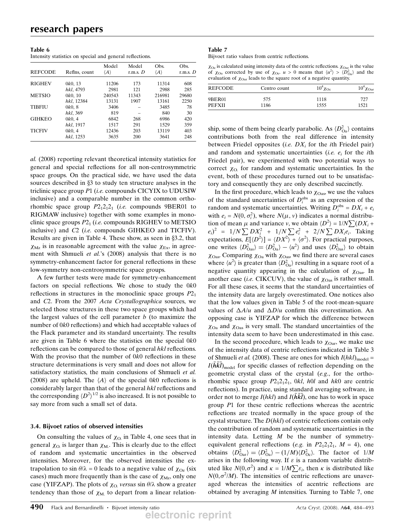| Table 6                                                  |  |  |
|----------------------------------------------------------|--|--|
| Intensity statistics on special and general reflections. |  |  |

|                |               | Model               | Model      | Obs.                | Obs.       |
|----------------|---------------|---------------------|------------|---------------------|------------|
| <b>REFCODE</b> | Refins, count | $\langle A \rangle$ | r.m.s. $D$ | $\langle A \rangle$ | r.m.s. $D$ |
| <b>RIGHEV</b>  | 0k0, 13       | 11206               | 173        | 11314               | 608        |
|                | hkl, 4793     | 2981                | 121        | 2988                | 285        |
| <b>METSIO</b>  | 0k0, 10       | 240543              | 11343      | 216981              | 29680      |
|                | hkl, 12384    | 13131               | 1907       | 13161               | 2250       |
| TIBFIU         | 0k0, 8        | 3406                |            | 3485                | 78         |
|                | hkl, 369      | 819                 |            | 840                 | 30         |
| <b>GIHKEO</b>  | 0k0, 4        | 6842                | 268        | 6986                | 420        |
|                | hkl, 1917     | 1517                | 291        | 1529                | 359        |
| <b>TICFIV</b>  | 0k0, 4        | 12436               | 203        | 13119               | 403        |
|                | hkl. 1253     | 3635                | 200        | 3641                | 248        |

al. (2008) reporting relevant theoretical intensity statistics for general and special reflections for all non-centrosymmetric space groups. On the practical side, we have used the data sources described in  $\S$ 3 to study ten structure analyses in the triclinic space group P1 (i.e. compounds CICYIX to UDUSIW inclusive) and a comparable number in the common orthorhombic space group  $P2_12_12_1$  (*i.e.* compounds 9BER01 to RIGMAW inclusive) together with some examples in monoclinic space groups  $P2<sub>1</sub>$  (i.e. compounds RIGHEV to METSIO inclusive) and C2 (i.e. compounds GIHKEO and TICFIV). Results are given in Table 4. These show, as seen in  $\S 3.2$ , that  $\chi_{\rm Mz}$  is in reasonable agreement with the value  $\chi_{\rm Ex}$ , in agreement with Shmueli et al.'s (2008) analysis that there is no symmetry-enhancement factor for general reflections in these low-symmetry non-centrosymmetric space groups.

A few further tests were made for symmetry-enhancement factors on special reflections. We chose to study the 0k0 reflections in structures in the monoclinic space groups  $P2<sub>1</sub>$ and C2. From the 2007 Acta Crystallographica sources, we selected those structures in these two space groups which had the largest values of the cell parameter  $b$  (to maximize the number of 0k0 reflections) and which had acceptable values of the Flack parameter and its standard uncertainty. The results are given in Table 6 where the statistics on the special 0k0 reflections can be compared to those of general hkl reflections. With the proviso that the number of 0k0 reflections in these structure determinations is very small and does not allow for satisfactory statistics, the main conclusions of Shmueli et al. (2008) are upheld. The  $\langle A \rangle$  of the special 0k0 reflections is considerably larger than that of the general hkl reflections and the corresponding  $\langle D^2 \rangle^{1/2}$  is also increased. It is not possible to say more from such a small set of data.

## 3.4. Bijvoet ratios of observed intensities

On consulting the values of  $\chi_{\text{O}}$  in Table 4, one sees that in general  $\chi_{\text{O}}$  is larger than  $\chi_{\text{M}}$ . This is clearly due to the effect of random and systematic uncertainties in the observed intensities. Moreover, for the observed intensities the extrapolation to sin  $\theta/\lambda = 0$  leads to a negative value of  $\chi_{Oz}$  (six cases) much more frequently than is the case of  $\chi_{Mz}$ , only one case (YIFZAP). The plots of  $\chi_{\text{O}}$  versus sin  $\theta/\lambda$  show a greater tendency than those of  $\chi_{\text{M}}$  to depart from a linear relation-

## Table 7

Bijvoet ratio values from centric reflections.

 $\chi_{\text{Oc}}$  is calculated using intensity data of the centric reflections.  $\chi_{\text{Oar}}$  is the value of  $\chi_{\text{Oa}}$  corrected by use of  $\chi_{\text{Oc}}$ .  $u > 0$  means that  $\langle u^2 \rangle > \langle D_{\text{Oa}}^2 \rangle$  and the evaluation of  $\chi_{\text{Oar}}$  leads to the square root of a negative quantity.

| REFCODE       | Centro count | $10^4 \chi_{\text{Oc}}$ | $10^4 \chi_{\text{Oar}}$ |
|---------------|--------------|-------------------------|--------------------------|
| 9BER01        | 575          | 1118                    | 727                      |
| <b>PEFXII</b> | 1186         | 1555                    | 1521                     |

ship, some of them being clearly parabolic. As  $\langle D_{\text{Oa}}^2 \rangle$  contains contributions both from the real difference in intensity between Friedel opposites *(i.e.*  $DX_i$  *for the ith Friedel pair)* and random and systematic uncertainties (i.e.  $e_i$  for the ith Friedel pair), we experimented with two potential ways to correct  $\chi_{\Omega}$  for random and systematic uncertainties. In the event, both of these procedures turned out to be unsatisfactory and consequently they are only described succinctly.

In the first procedure, which leads to  $\chi_{\text{Oas}}$ , we use the values of the standard uncertainties of  $D_i^{\text{obs}}$  as an expression of the random and systematic uncertainties. Writing  $D_i^{\text{obs}} = DX_i + e_i$ with  $e_i = N(0, \sigma_i^2)$ , where  $N(\mu, \nu)$  indicates a normal distribution of mean  $\mu$  and variance v, we obtain  $\langle D^2 \rangle = 1/N \sum (DX_i +$  $(e_i)^2 = 1/N \sum DX_i^2 + 1/N \sum e_i^2 + 2/N \sum DX_i e_i$ . Taking expectations,  $E[\langle D^2 \rangle] = \langle DX^2 \rangle + \langle \sigma^2 \rangle$ . For practical purposes, one writes  $\langle D_{\text{Oas}}^2 \rangle = \langle D_{\text{Oa}}^2 \rangle - \langle u^2 \rangle$  and uses  $\langle D_{\text{Oas}}^2 \rangle$  to obtain  $\chi_{\text{Oas}}$ . Comparing  $\chi_{\text{Oa}}$  with  $\chi_{\text{Oas}}$ , we find there are several cases where  $\langle u^2 \rangle$  is greater than  $\langle D_{\Omega}^2 \rangle$  resulting in a square root of a negative quantity appearing in the calculation of  $\chi_{\text{Oas}}$ . In another case (*i.e.* CIKCUV), the value of  $\chi_{\text{Oas}}$  is rather small. For all these cases, it seems that the standard uncertainties of the intensity data are largely overestimated. One notices also that the low values given in Table 5 of the root-mean-square values of  $\Delta A/u$  and  $\Delta D/u$  confirm this overestimation. An opposing case is YIFZAP for which the difference between  $\chi_{\text{Oa}}$  and  $\chi_{\text{Oas}}$  is very small. The standard uncertainties of the intensity data seem to have been underestimated in this case.

In the second procedure, which leads to  $\chi_{\text{Oar}}$ , we make use of the intensity data of centric reflections indicated in Table 3 of Shmueli *et al.* (2008). These are ones for which  $I(hkl)_{\text{model}} =$  $I(hkl)_{model}$  for specific classes of reflection depending on the geometric crystal class of the crystal (e.g., for the orthorhombic space group  $P2_12_12_1$ , 0kl, h0l and hk0 are centric reflections). In practice, using standard averaging software, in order not to merge  $I(hkl)$  and  $I(hkl)$ , one has to work in space group P1 for these centric reflections whereas the acentric reflections are treated normally in the space group of the crystal structure. The  $D(hkl)$  of centric reflections contain only the contribution of random and systematic uncertainties in the intensity data. Letting  $M$  be the number of symmetryequivalent general reflections (e.g. in  $P2_12_12_1$ ,  $M = 4$ ), one obtains  $\langle D_{\text{Oar}}^2 \rangle = \langle D_{\text{Oa}}^2 \rangle - (1/M) \langle D_{\text{Oc}}^2 \rangle$ . The factor of  $1/M$ arises in the following way. If  $\varepsilon$  is a random variable distributed like  $N(0, \sigma^2)$  and  $\kappa = 1/M \sum \varepsilon_i$ , then  $\kappa$  is distributed like  $N(0, \sigma^2/M)$ . The intensities of centric reflections are unaveraged whereas the intensities of acentric reflections are obtained by averaging  $M$  intensities. Turning to Table 7, one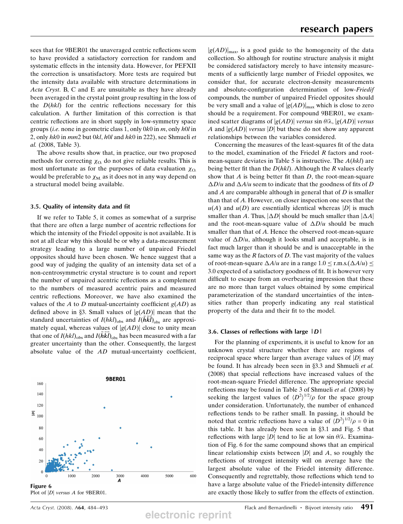sees that for 9BER01 the unaveraged centric reflections seem to have provided a satisfactory correction for random and systematic effects in the intensity data. However, for PEFXII the correction is unsatisfactory. More tests are required but the intensity data available with structure determinations in Acta Cryst. B, C and E are unsuitable as they have already been averaged in the crystal point group resulting in the loss of the  $D(hkl)$  for the centric reflections necessary for this calculation. A further limitation of this correction is that centric reflections are in short supply in low-symmetry space groups (*i.e.* none in geometric class 1, only  $0k0$  in m, only  $h0l$  in 2, only hk0 in mm2 but 0kl, h0l and hk0 in 222), see Shmueli et al. (2008, Table 3).

The above results show that, in practice, our two proposed methods for correcting  $\chi_{\Omega}$  do not give reliable results. This is most unfortunate as for the purposes of data evaluation  $\chi_{\Omega}$ would be preferable to  $\chi_{\text{M}}$  as it does not in any way depend on a structural model being available.

#### 3.5. Quality of intensity data and fit

If we refer to Table 5, it comes as somewhat of a surprise that there are often a large number of acentric reflections for which the intensity of the Friedel opposite is not available. It is not at all clear why this should be or why a data-measurement strategy leading to a large number of unpaired Friedel opposites should have been chosen. We hence suggest that a good way of judging the quality of an intensity data set of a non-centrosymmetric crystal structure is to count and report the number of unpaired acentric reflections as a complement to the numbers of measured acentric pairs and measured centric reflections. Moreover, we have also examined the values of the A to D mutual-uncertainty coefficient  $g(AD)$  as defined above in §3. Small values of  $|g(AD)|$  mean that the standard uncertainties of  $I(hkl)_{\text{obs}}$  and  $I(hkl)_{\text{obs}}$  are approximately equal, whereas values of  $|g(AD)|$  close to unity mean that one of  $I(hkl)_{obs}$  and  $I(hkl)_{obs}$  has been measured with a far greater uncertainty than the other. Consequently, the largest absolute value of the AD mutual-uncertainty coefficient,



 $|g(AD)|_{\text{max}}$ , is a good guide to the homogeneity of the data collection. So although for routine structure analysis it might be considered satisfactory merely to have intensity measurements of a sufficiently large number of Friedel opposites, we consider that, for accurate electron-density measurements and absolute-configuration determination of low-Friedif compounds, the number of unpaired Friedel opposites should be very small and a value of  $|g(AD)|_{\text{max}}$  which is close to zero should be a requirement. For compound 9BER01, we examined scatter diagrams of  $|g(AD)|$  versus sin  $\theta/\lambda, |g(AD)|$  versus A and  $|g(AD)|$  versus  $|D|$  but these do not show any apparent relationships between the variables considered.

Concerning the measures of the least-squares fit of the data to the model, examination of the Friedel R factors and rootmean-square deviates in Table 5 is instructive. The  $A(hkl)$  are being better fit than the  $D(hkl)$ . Although the R values clearly show that  $A$  is being better fit than  $D$ , the root-mean-square  $\Delta D/u$  and  $\Delta A/u$  seem to indicate that the goodness of fits of D and  $A$  are comparable although in general that of  $D$  is smaller than that of A. However, on closer inspection one sees that the  $u(A)$  and  $u(D)$  are essentially identical whereas |D| is much smaller than A. Thus,  $|\Delta D|$  should be much smaller than  $|\Delta A|$ and the root-mean-square value of  $\Delta D/u$  should be much smaller than that of A. Hence the observed root-mean-square value of  $\Delta D/u$ , although it looks small and acceptable, is in fact much larger than it should be and is unacceptable in the same way as the  $R$  factors of  $D$ . The vast majority of the values of root-mean-square  $\Delta A/u$  are in a range  $1.0 \le$  r.m.s. $(\Delta A/u) \le$ 3.0 expected of a satisfactory goodness of fit. It is however very difficult to escape from an overbearing impression that these are no more than target values obtained by some empirical parameterization of the standard uncertainties of the intensities rather than properly indicating any real statistical property of the data and their fit to the model.

#### 3.6. Classes of reflections with large  $|D|$

For the planning of experiments, it is useful to know for an unknown crystal structure whether there are regions of reciprocal space where larger than average values of  $|D|$  may be found. It has already been seen in §3.3 and Shmueli et al. (2008) that special reflections have increased values of the root-mean-square Friedel difference. The appropriate special reflections may be found in Table 3 of Shmueli et al. (2008) by seeking the largest values of  $\langle D^2 \rangle^{1/2}/\rho$  for the space group under consideration. Unfortunately, the number of enhanced reflections tends to be rather small. In passing, it should be noted that centric reflections have a value of  $\langle D^2 \rangle^{1/2}/\rho = 0$  in this table. It has already been seen in  $\S 3.1$  and Fig. 5 that reflections with large  $|D|$  tend to lie at low sin  $\theta/\lambda$ . Examination of Fig. 6 for the same compound shows that an empirical linear relationship exists between  $|D|$  and A, so roughly the reflections of strongest intensity will on average have the largest absolute value of the Friedel intensity difference. Consequently and regrettably, those reflections which tend to have a large absolute value of the Friedel-intensity difference are exactly those likely to suffer from the effects of extinction.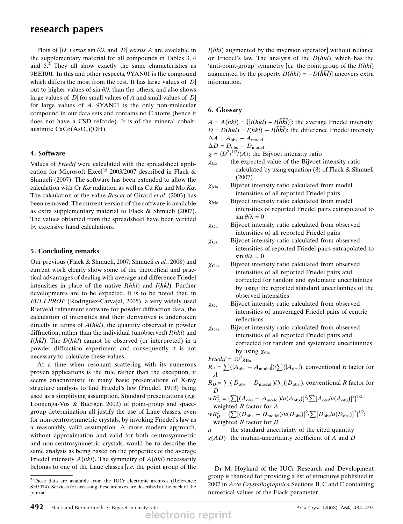Plots of |D| versus sin  $\theta/\lambda$  and |D| versus A are available in the supplementary material for all compounds in Tables 3, 4 and 5.<sup>2</sup> They all show exactly the same characteristics as 9BER01. In this and other respects, 9YAN01 is the compound which differs the most from the rest. It has large values of  $|D|$ out to higher values of sin  $\theta/\lambda$  than the others, and also shows large values of  $|D|$  for small values of A and small values of  $|D|$ for large values of A. 9YAN01 is the only non-molecular compound in our data sets and contains no C atoms (hence it does not have a CSD refcode). It is of the mineral cobaltaustinite  $CaCo(AsO<sub>4</sub>)(OH)$ .

## 4. Software

Values of Friedif were calculated with the spreadsheet application for Microsoft Excel<sup>®</sup> 2003/2007 described in Flack & Shmueli (2007). The software has been extended to allow the calculation with Cr  $K\alpha$  radiation as well as Cu  $K\alpha$  and Mo  $K\alpha$ . The calculation of the value *Rescat* of Girard *et al.* (2003) has been removed. The current version of the software is available as extra supplementary material to Flack & Shmueli (2007). The values obtained from the spreadsheet have been verified by extensive hand calculations.

## 5. Concluding remarks

Our previous (Flack & Shmueli, 2007; Shmueli et al., 2008) and current work clearly show some of the theoretical and practical advantages of dealing with average and difference Friedel intensities in place of the native  $I(hkl)$  and  $I(h\overline{k}\overline{l})$ . Further developments are to be expected. It is to be noted that, in FULLPROF (Rodriguez-Carvajal, 2005), a very widely used Rietveld refinement software for powder diffraction data, the calculation of intensities and their derivatives is undertaken directly in terms of  $A(hkl)$ , the quantity observed in powder diffraction, rather than the individual (unobserved)  $I(hkl)$  and  $I(hkl)$ . The  $D(hkl)$  cannot be observed (or interpreted) in a powder diffraction experiment and consequently it is not necessary to calculate these values.

At a time when resonant scattering with its numerous proven applications is the rule rather than the exception, it seems anachronistic in many basic presentations of X-ray structure analysis to find Friedel's law (Friedel, 1913) being used as a simplifying assumption. Standard presentations (e.g. Looijenga-Vos & Buerger, 2002) of point-group and spacegroup determination all justify the use of Laue classes, even for non-centrosymmetric crystals, by invoking Friedel's law as a reasonably valid assumption. A more modern approach, without approximation and valid for both centrosymmetric and non-centrosymmetric crystals, would be to describe the same analysis as being based on the properties of the average Friedel intensity  $A(hkl)$ . The symmetry of  $A(hkl)$  necessarily belongs to one of the Laue classes [i.e. the point group of the  $I(hkl)$  augmented by the inversion operator without reliance on Friedel's law. The analysis of the  $D(hkl)$ , which has the 'anti-point-group' symmetry [*i.e.* the point group of the  $I(hkl)$ ] augmented by the property  $D(hkl) = -D(\overline{h}\overline{k}\overline{l})$  uncovers extra information.

## 6. Glossary

 $A = A(hkl) = \frac{1}{2}[I(hkl) + I(\overline{h}\overline{k}\overline{l})]$ : the average Friedel intensity  $D = D(hkl) = I(hkl) - I(\overline{h}\overline{k}\overline{l})$ : the difference Friedel intensity  $\Delta A = A_{\text{obs}} - A_{\text{model}}$ 

 $\Delta D = D_{\text{obs}} - D_{\text{model}}$ 

 $\chi = \langle D^2 \rangle^{1/2} / \langle A \rangle$ : the Bijvoet intensity ratio

- $\chi_{Ex}$  the expected value of the Bijvoet intensity ratio calculated by using equation (8) of Flack & Shmueli (2007)
- $\chi_{\text{Ma}}$  Bijvoet intensity ratio calculated from model intensities of all reported Friedel pairs
- $\chi_{\text{Mz}}$  Bijvoet intensity ratio calculated from model intensities of reported Friedel pairs extrapolated to  $\sin \theta / \lambda = 0$
- $\chi_{\text{Oa}}$  Bijvoet intensity ratio calculated from observed intensities of all reported Friedel pairs
- $\chi_{Oz}$  Bijvoet intensity ratio calculated from observed intensities of reported Friedel pairs extrapolated to  $\sin \theta / \lambda = 0$
- $\chi_{\text{Oas}}$  Bijvoet intensity ratio calculated from observed intensities of all reported Friedel pairs and corrected for random and systematic uncertainties by using the reported standard uncertainties of the observed intensities
- $\chi_{\text{Oc}}$  Bijvoet intensity ratio calculated from observed intensities of unaveraged Friedel pairs of centric reflections
- $\chi_{\text{Oar}}$  Bijvoet intensity ratio calculated from observed intensities of all reported Friedel pairs and corrected for random and systematic uncertainties by using  $\chi_{\text{Oc}}$

$$
Friedif = 10^4 \chi_{\rm Ex}
$$

$$
R_A = \sum (|A_{\text{obs}} - A_{\text{model}}|) / \sum (|A_{\text{obs}}|)
$$
: conventional *R* factor for *A*

$$
R_D = \sum (|D_{\text{obs}} - D_{\text{model}}|) / \sum (|D_{\text{obs}}|)
$$
: conventional *R* factor for *D*

$$
wR_A^2 = {\sum [(A_{\text{obs}} - A_{\text{model}})/u(A_{\text{obs}})]^2 }/{\sum [A_{\text{obs}}/u(A_{\text{obs}})]^2}]^{1/2};
$$
  
weighted *R* factor for *A*

 $wR_D^2 = {\sum [(D_{\text{obs}} - D_{\text{model}})/u(D_{\text{obs}})]^2 }/{\sum [D_{\text{obs}}/u(D_{\text{obs}})]^2}}^{1/2}.$ weighted R factor for D

 $u$  the standard uncertainty of the cited quantity  $g(AD)$  the mutual-uncertainty coefficient of A and D

Dr M. Hoyland of the IUCr Research and Development group is thanked for providing a list of structures published in 2007 in Acta Crystallographica Sections B, C and E containing numerical values of the Flack parameter.

<sup>2</sup> These data are available from the IUCr electronic archives (Reference: SH5074). Services for accessing these archives are described at the back of the journal.